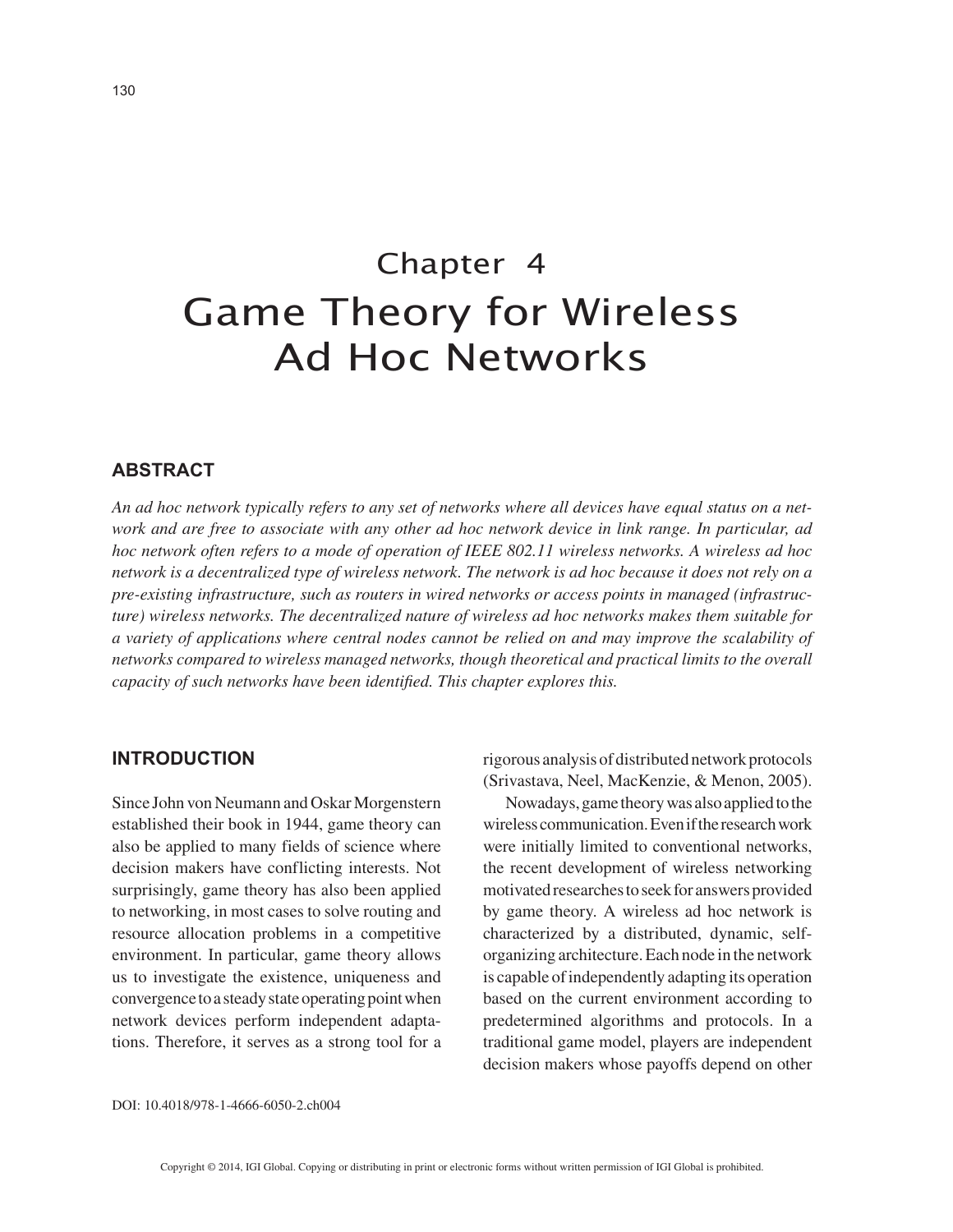# Chapter 4 Game Theory for Wireless Ad Hoc Networks

## **ABSTRACT**

*An ad hoc network typically refers to any set of networks where all devices have equal status on a network and are free to associate with any other ad hoc network device in link range. In particular, ad hoc network often refers to a mode of operation of IEEE 802.11 wireless networks. A wireless ad hoc network is a decentralized type of wireless network. The network is ad hoc because it does not rely on a pre-existing infrastructure, such as routers in wired networks or access points in managed (infrastructure) wireless networks. The decentralized nature of wireless ad hoc networks makes them suitable for a variety of applications where central nodes cannot be relied on and may improve the scalability of networks compared to wireless managed networks, though theoretical and practical limits to the overall capacity of such networks have been identified. This chapter explores this.*

## **INTRODUCTION**

Since John von Neumann and Oskar Morgenstern established their book in 1944, game theory can also be applied to many fields of science where decision makers have conflicting interests. Not surprisingly, game theory has also been applied to networking, in most cases to solve routing and resource allocation problems in a competitive environment. In particular, game theory allows us to investigate the existence, uniqueness and convergence to a steady state operating point when network devices perform independent adaptations. Therefore, it serves as a strong tool for a rigorous analysis of distributed network protocols (Srivastava, Neel, MacKenzie, & Menon, 2005).

Nowadays, game theory was also applied to the wireless communication. Even if the research work were initially limited to conventional networks, the recent development of wireless networking motivated researches to seek for answers provided by game theory. A wireless ad hoc network is characterized by a distributed, dynamic, selforganizing architecture. Each node in the network is capable of independently adapting its operation based on the current environment according to predetermined algorithms and protocols. In a traditional game model, players are independent decision makers whose payoffs depend on other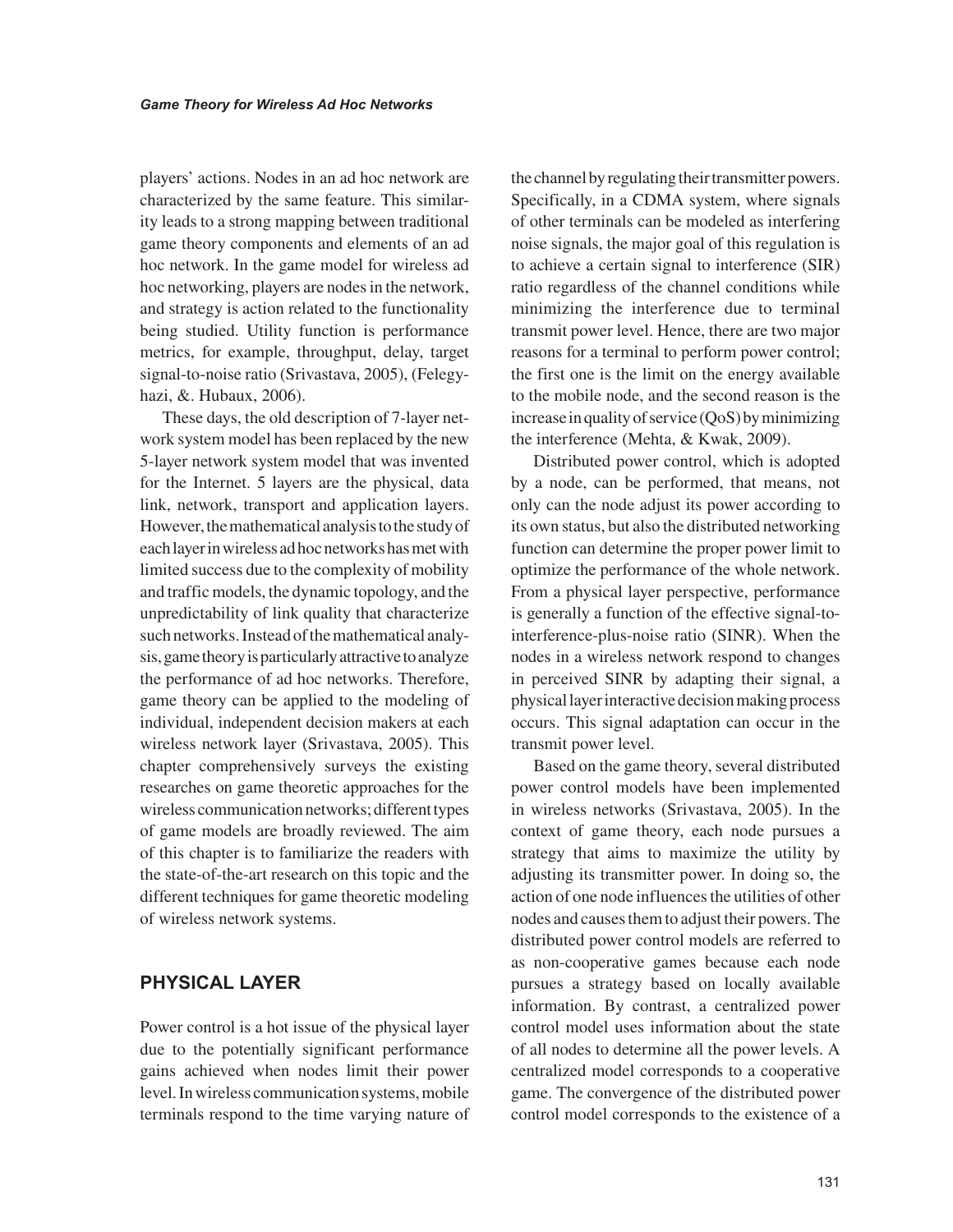players' actions. Nodes in an ad hoc network are characterized by the same feature. This similarity leads to a strong mapping between traditional game theory components and elements of an ad hoc network. In the game model for wireless ad hoc networking, players are nodes in the network, and strategy is action related to the functionality being studied. Utility function is performance metrics, for example, throughput, delay, target signal-to-noise ratio (Srivastava, 2005), (Felegyhazi, &. Hubaux, 2006).

These days, the old description of 7-layer network system model has been replaced by the new 5-layer network system model that was invented for the Internet. 5 layers are the physical, data link, network, transport and application layers. However, the mathematical analysis to the study of each layer in wireless ad hoc networks has met with limited success due to the complexity of mobility and traffic models, the dynamic topology, and the unpredictability of link quality that characterize such networks. Instead of the mathematical analysis, game theory is particularly attractive to analyze the performance of ad hoc networks. Therefore, game theory can be applied to the modeling of individual, independent decision makers at each wireless network layer (Srivastava, 2005). This chapter comprehensively surveys the existing researches on game theoretic approaches for the wireless communication networks; different types of game models are broadly reviewed. The aim of this chapter is to familiarize the readers with the state-of-the-art research on this topic and the different techniques for game theoretic modeling of wireless network systems.

## **PHYSICAL LAYER**

Power control is a hot issue of the physical layer due to the potentially significant performance gains achieved when nodes limit their power level. In wireless communication systems, mobile terminals respond to the time varying nature of the channel by regulating their transmitter powers. Specifically, in a CDMA system, where signals of other terminals can be modeled as interfering noise signals, the major goal of this regulation is to achieve a certain signal to interference (SIR) ratio regardless of the channel conditions while minimizing the interference due to terminal transmit power level. Hence, there are two major reasons for a terminal to perform power control; the first one is the limit on the energy available to the mobile node, and the second reason is the increase in quality of service (QoS) by minimizing the interference (Mehta, & Kwak, 2009).

Distributed power control, which is adopted by a node, can be performed, that means, not only can the node adjust its power according to its own status, but also the distributed networking function can determine the proper power limit to optimize the performance of the whole network. From a physical layer perspective, performance is generally a function of the effective signal-tointerference-plus-noise ratio (SINR). When the nodes in a wireless network respond to changes in perceived SINR by adapting their signal, a physical layer interactive decision making process occurs. This signal adaptation can occur in the transmit power level.

Based on the game theory, several distributed power control models have been implemented in wireless networks (Srivastava, 2005). In the context of game theory, each node pursues a strategy that aims to maximize the utility by adjusting its transmitter power. In doing so, the action of one node influences the utilities of other nodes and causes them to adjust their powers. The distributed power control models are referred to as non-cooperative games because each node pursues a strategy based on locally available information. By contrast, a centralized power control model uses information about the state of all nodes to determine all the power levels. A centralized model corresponds to a cooperative game. The convergence of the distributed power control model corresponds to the existence of a